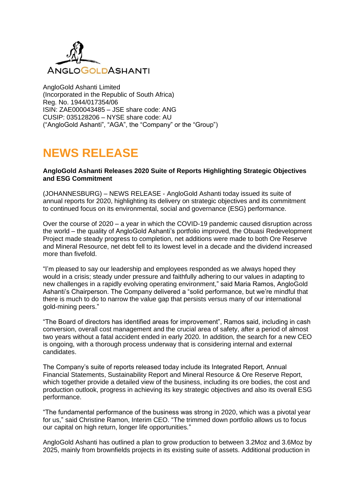

AngloGold Ashanti Limited (Incorporated in the Republic of South Africa) Reg. No. 1944/017354/06 ISIN: ZAE000043485 – JSE share code: ANG CUSIP: 035128206 – NYSE share code: AU ("AngloGold Ashanti", "AGA", the "Company" or the "Group")

# **NEWS RELEASE**

#### **AngloGold Ashanti Releases 2020 Suite of Reports Highlighting Strategic Objectives and ESG Commitment**

(JOHANNESBURG) – NEWS RELEASE - AngloGold Ashanti today issued its suite of annual reports for 2020, highlighting its delivery on strategic objectives and its commitment to continued focus on its environmental, social and governance (ESG) performance.

Over the course of 2020 – a year in which the COVID-19 pandemic caused disruption across the world – the quality of AngloGold Ashanti's portfolio improved, the Obuasi Redevelopment Project made steady progress to completion, net additions were made to both Ore Reserve and Mineral Resource, net debt fell to its lowest level in a decade and the dividend increased more than fivefold.

"I'm pleased to say our leadership and employees responded as we always hoped they would in a crisis; steady under pressure and faithfully adhering to our values in adapting to new challenges in a rapidly evolving operating environment," said Maria Ramos, AngloGold Ashanti's Chairperson. The Company delivered a "solid performance, but we're mindful that there is much to do to narrow the value gap that persists versus many of our international gold-mining peers."

"The Board of directors has identified areas for improvement", Ramos said, including in cash conversion, overall cost management and the crucial area of safety, after a period of almost two years without a fatal accident ended in early 2020. In addition, the search for a new CEO is ongoing, with a thorough process underway that is considering internal and external candidates.

The Company's suite of reports released today include its Integrated Report, Annual Financial Statements, Sustainability Report and Mineral Resource & Ore Reserve Report, which together provide a detailed view of the business, including its ore bodies, the cost and production outlook, progress in achieving its key strategic objectives and also its overall ESG performance.

"The fundamental performance of the business was strong in 2020, which was a pivotal year for us," said Christine Ramon, Interim CEO. "The trimmed down portfolio allows us to focus our capital on high return, longer life opportunities."

AngloGold Ashanti has outlined a plan to grow production to between 3.2Moz and 3.6Moz by 2025, mainly from brownfields projects in its existing suite of assets. Additional production in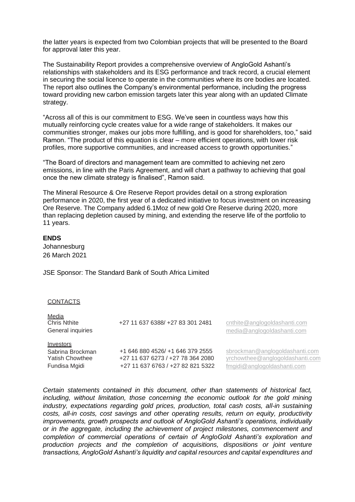the latter years is expected from two Colombian projects that will be presented to the Board for approval later this year.

The Sustainability Report provides a comprehensive overview of AngloGold Ashanti's relationships with stakeholders and its ESG performance and track record, a crucial element in securing the social licence to operate in the communities where its ore bodies are located. The report also outlines the Company's environmental performance, including the progress toward providing new carbon emission targets later this year along with an updated Climate strategy.

"Across all of this is our commitment to ESG. We've seen in countless ways how this mutually reinforcing cycle creates value for a wide range of stakeholders. It makes our communities stronger, makes our jobs more fulfilling, and is good for shareholders, too," said Ramon. "The product of this equation is clear – more efficient operations, with lower risk profiles, more supportive communities, and increased access to growth opportunities."

"The Board of directors and management team are committed to achieving net zero emissions, in line with the Paris Agreement, and will chart a pathway to achieving that goal once the new climate strategy is finalised", Ramon said.

The Mineral Resource & Ore Reserve Report provides detail on a strong exploration performance in 2020, the first year of a dedicated initiative to focus investment on increasing Ore Reserve. The Company added 6.1Moz of new gold Ore Reserve during 2020, more than replacing depletion caused by mining, and extending the reserve life of the portfolio to 11 years.

## **ENDS**

Johannesburg 26 March 2021

JSE Sponsor: The Standard Bank of South Africa Limited

#### CONTACTS

| <b>Media</b><br><b>Chris Nthite</b><br>General inquiries                 | +27 11 637 6388/ +27 83 301 2481                                                                           | cnthite@anglogoldashanti.com<br>media@anglogoldashanti.com                                       |
|--------------------------------------------------------------------------|------------------------------------------------------------------------------------------------------------|--------------------------------------------------------------------------------------------------|
| Investors<br>Sabrina Brockman<br><b>Yatish Chowthee</b><br>Fundisa Mgidi | +1 646 880 4526/ +1 646 379 2555<br>+27 11 637 6273 / +27 78 364 2080<br>+27 11 637 6763 / +27 82 821 5322 | sbrockman@anglogoldashanti.com<br>yrchowthee@anglogoldashanti.com<br>fmgidi@anglogoldashanti.com |

*Certain statements contained in this document, other than statements of historical fact, including, without limitation, those concerning the economic outlook for the gold mining industry, expectations regarding gold prices, production, total cash costs, all-in sustaining costs, all-in costs, cost savings and other operating results, return on equity, productivity improvements, growth prospects and outlook of AngloGold Ashanti's operations, individually or in the aggregate, including the achievement of project milestones, commencement and completion of commercial operations of certain of AngloGold Ashanti's exploration and production projects and the completion of acquisitions, dispositions or joint venture transactions, AngloGold Ashanti's liquidity and capital resources and capital expenditures and*